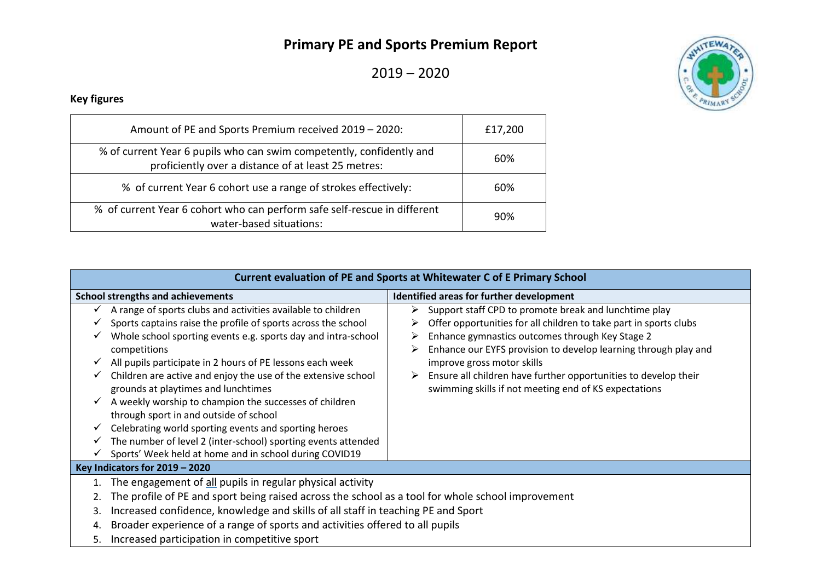## **Primary PE and Sports Premium Report**

2019 – 2020



## **Key figures**

| Amount of PE and Sports Premium received 2019 - 2020:                                                                       | £17,200 |  |
|-----------------------------------------------------------------------------------------------------------------------------|---------|--|
| % of current Year 6 pupils who can swim competently, confidently and<br>proficiently over a distance of at least 25 metres: | 60%     |  |
| % of current Year 6 cohort use a range of strokes effectively:                                                              | 60%     |  |
| % of current Year 6 cohort who can perform safe self-rescue in different<br>water-based situations:                         | 90%     |  |

| Current evaluation of PE and Sports at Whitewater C of E Primary School |                                                                                                                                                                                                                                                                                                                                                                                                                                                                                                                                                                                                                                                                             |                                                                                                                                                                                                                                                                                                                                                                                                                                |  |  |  |  |  |
|-------------------------------------------------------------------------|-----------------------------------------------------------------------------------------------------------------------------------------------------------------------------------------------------------------------------------------------------------------------------------------------------------------------------------------------------------------------------------------------------------------------------------------------------------------------------------------------------------------------------------------------------------------------------------------------------------------------------------------------------------------------------|--------------------------------------------------------------------------------------------------------------------------------------------------------------------------------------------------------------------------------------------------------------------------------------------------------------------------------------------------------------------------------------------------------------------------------|--|--|--|--|--|
|                                                                         | <b>School strengths and achievements</b>                                                                                                                                                                                                                                                                                                                                                                                                                                                                                                                                                                                                                                    | Identified areas for further development                                                                                                                                                                                                                                                                                                                                                                                       |  |  |  |  |  |
| ✓                                                                       | A range of sports clubs and activities available to children<br>Sports captains raise the profile of sports across the school<br>Whole school sporting events e.g. sports day and intra-school<br>competitions<br>All pupils participate in 2 hours of PE lessons each week<br>Children are active and enjoy the use of the extensive school<br>grounds at playtimes and lunchtimes<br>A weekly worship to champion the successes of children<br>through sport in and outside of school<br>Celebrating world sporting events and sporting heroes<br>The number of level 2 (inter-school) sporting events attended<br>Sports' Week held at home and in school during COVID19 | Support staff CPD to promote break and lunchtime play<br>Offer opportunities for all children to take part in sports clubs<br>➤<br>Enhance gymnastics outcomes through Key Stage 2<br>➤<br>Enhance our EYFS provision to develop learning through play and<br>➤<br>improve gross motor skills<br>Ensure all children have further opportunities to develop their<br>➤<br>swimming skills if not meeting end of KS expectations |  |  |  |  |  |
| Key Indicators for $2019 - 2020$                                        |                                                                                                                                                                                                                                                                                                                                                                                                                                                                                                                                                                                                                                                                             |                                                                                                                                                                                                                                                                                                                                                                                                                                |  |  |  |  |  |
| 1.                                                                      | The engagement of all pupils in regular physical activity                                                                                                                                                                                                                                                                                                                                                                                                                                                                                                                                                                                                                   |                                                                                                                                                                                                                                                                                                                                                                                                                                |  |  |  |  |  |
|                                                                         | The profile of PE and sport being raised across the school as a tool for whole school improvement                                                                                                                                                                                                                                                                                                                                                                                                                                                                                                                                                                           |                                                                                                                                                                                                                                                                                                                                                                                                                                |  |  |  |  |  |
| 3.                                                                      | Increased confidence, knowledge and skills of all staff in teaching PE and Sport                                                                                                                                                                                                                                                                                                                                                                                                                                                                                                                                                                                            |                                                                                                                                                                                                                                                                                                                                                                                                                                |  |  |  |  |  |
| 4.                                                                      | Broader experience of a range of sports and activities offered to all pupils                                                                                                                                                                                                                                                                                                                                                                                                                                                                                                                                                                                                |                                                                                                                                                                                                                                                                                                                                                                                                                                |  |  |  |  |  |
| 5.                                                                      | Increased participation in competitive sport                                                                                                                                                                                                                                                                                                                                                                                                                                                                                                                                                                                                                                |                                                                                                                                                                                                                                                                                                                                                                                                                                |  |  |  |  |  |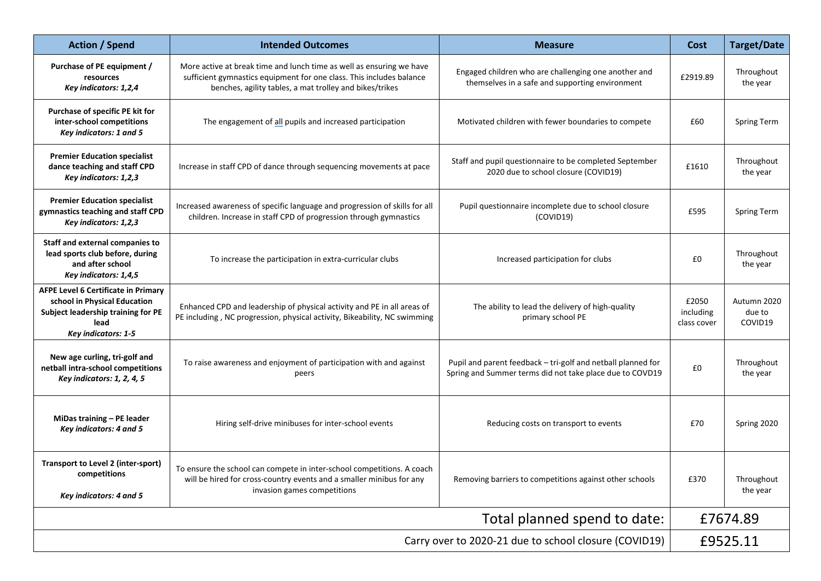| <b>Action / Spend</b>                                                                                                                                               | <b>Intended Outcomes</b>                                                                                                                                                                                | <b>Measure</b>                                                                                                           | <b>Cost</b>                       | <b>Target/Date</b>               |  |
|---------------------------------------------------------------------------------------------------------------------------------------------------------------------|---------------------------------------------------------------------------------------------------------------------------------------------------------------------------------------------------------|--------------------------------------------------------------------------------------------------------------------------|-----------------------------------|----------------------------------|--|
| Purchase of PE equipment /<br>resources<br>Key indicators: 1,2,4                                                                                                    | More active at break time and lunch time as well as ensuring we have<br>sufficient gymnastics equipment for one class. This includes balance<br>benches, agility tables, a mat trolley and bikes/trikes | Engaged children who are challenging one another and<br>themselves in a safe and supporting environment                  | £2919.89                          | Throughout<br>the year           |  |
| Purchase of specific PE kit for<br>inter-school competitions<br>Key indicators: 1 and 5                                                                             | The engagement of all pupils and increased participation                                                                                                                                                | Motivated children with fewer boundaries to compete                                                                      | £60                               | <b>Spring Term</b>               |  |
| <b>Premier Education specialist</b><br>dance teaching and staff CPD<br>Increase in staff CPD of dance through sequencing movements at pace<br>Key indicators: 1,2,3 |                                                                                                                                                                                                         | Staff and pupil questionnaire to be completed September<br>2020 due to school closure (COVID19)                          | £1610                             | Throughout<br>the year           |  |
| <b>Premier Education specialist</b><br>gymnastics teaching and staff CPD<br>Key indicators: 1,2,3                                                                   | Increased awareness of specific language and progression of skills for all<br>children. Increase in staff CPD of progression through gymnastics                                                         | Pupil questionnaire incomplete due to school closure<br>(COVID19)                                                        | £595                              | <b>Spring Term</b>               |  |
| Staff and external companies to<br>lead sports club before, during<br>and after school<br>Key indicators: 1,4,5                                                     | To increase the participation in extra-curricular clubs                                                                                                                                                 | Increased participation for clubs                                                                                        | £0                                | Throughout<br>the year           |  |
| <b>AFPE Level 6 Certificate in Primary</b><br>school in Physical Education<br>Subject leadership training for PE<br>lead<br>Key indicators: 1-5                     | Enhanced CPD and leadership of physical activity and PE in all areas of<br>PE including, NC progression, physical activity, Bikeability, NC swimming                                                    | The ability to lead the delivery of high-quality<br>primary school PE                                                    | £2050<br>including<br>class cover | Autumn 2020<br>due to<br>COVID19 |  |
| New age curling, tri-golf and<br>netball intra-school competitions<br>Key indicators: 1, 2, 4, 5                                                                    | To raise awareness and enjoyment of participation with and against<br>peers                                                                                                                             | Pupil and parent feedback - tri-golf and netball planned for<br>Spring and Summer terms did not take place due to COVD19 | £0                                | Throughout<br>the year           |  |
| MiDas training - PE leader<br>Key indicators: 4 and 5                                                                                                               | Hiring self-drive minibuses for inter-school events                                                                                                                                                     | Reducing costs on transport to events                                                                                    | £70                               | Spring 2020                      |  |
| Transport to Level 2 (inter-sport)<br>competitions<br>Key indicators: 4 and 5                                                                                       | To ensure the school can compete in inter-school competitions. A coach<br>will be hired for cross-country events and a smaller minibus for any<br>invasion games competitions                           | Removing barriers to competitions against other schools                                                                  | £370                              | Throughout<br>the year           |  |
|                                                                                                                                                                     | £7674.89                                                                                                                                                                                                |                                                                                                                          |                                   |                                  |  |
| Carry over to 2020-21 due to school closure (COVID19)                                                                                                               |                                                                                                                                                                                                         |                                                                                                                          |                                   | £9525.11                         |  |